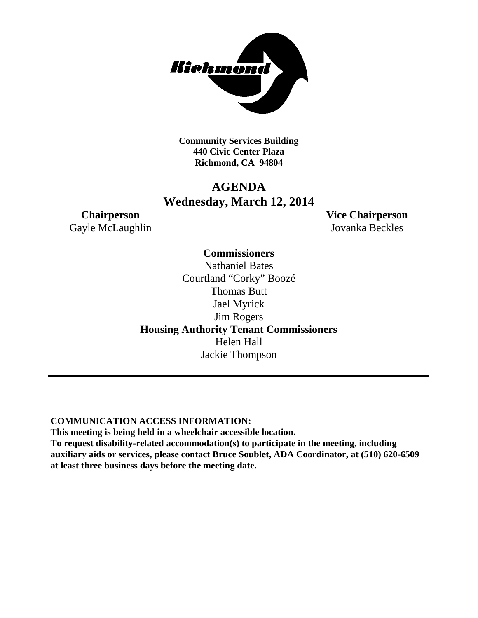

**Community Services Building 440 Civic Center Plaza Richmond, CA 94804**

## **AGENDA Wednesday, March 12, 2014**

Gayle McLaughlin Jovanka Beckles

**Chairperson Vice Chairperson**

**Commissioners** Nathaniel Bates Courtland "Corky" Boozé Thomas Butt Jael Myrick Jim Rogers **Housing Authority Tenant Commissioners** Helen Hall Jackie Thompson

**COMMUNICATION ACCESS INFORMATION:**

**This meeting is being held in a wheelchair accessible location.**

**To request disability-related accommodation(s) to participate in the meeting, including auxiliary aids or services, please contact Bruce Soublet, ADA Coordinator, at (510) 620-6509 at least three business days before the meeting date.**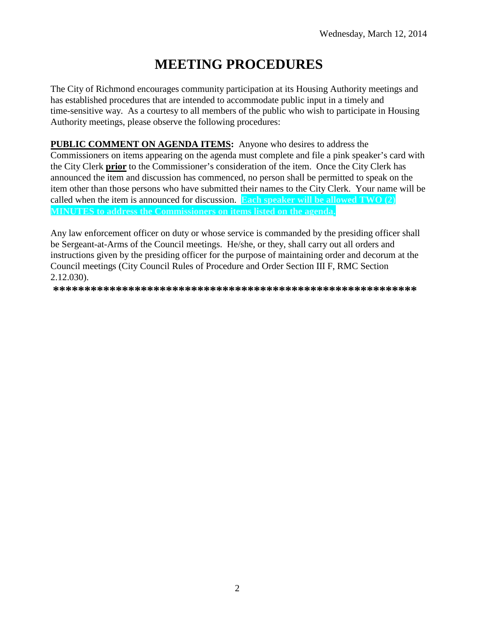# **MEETING PROCEDURES**

The City of Richmond encourages community participation at its Housing Authority meetings and has established procedures that are intended to accommodate public input in a timely and time-sensitive way. As a courtesy to all members of the public who wish to participate in Housing Authority meetings, please observe the following procedures:

PUBLIC COMMENT ON AGENDA ITEMS: Anyone who desires to address the Commissioners on items appearing on the agenda must complete and file a pink speaker's card with the City Clerk prior to the Commissioner's consideration of the item. Once the City Clerk has announced the item and discussion has commenced, no person shall be permitted to speak on the item other than those persons who have submitted their names to the City Clerk. Your name will be called when the item is announced for discussion. Each speaker will be allowed TWO (2) MINUTES to address the Commissioners on items listed on the agenda.

Any law enforcement officer on duty or whose service is commanded by the presiding officer shall be Sergeant-at-Arms of the Council meetings. He/she, or they, shall carry out all orders and instructions given by the presiding officer for the purpose of maintaining order and decorum at the Council meetings (City Council Rules of Procedure and Order Section III F, RMC Section  $2.12.030$ .